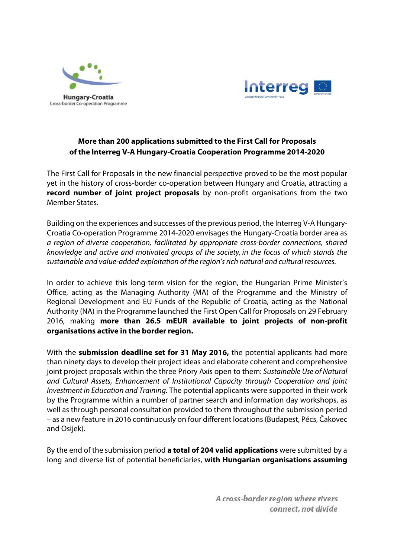



## **More than 200 applications submitted to the First Call for Proposals of the Interreg V-A Hungary-Croatia Cooperation Programme 2014-2020**

The First Call for Proposals in the new financial perspective proved to be the most popular yet in the history of cross-border co-operation between Hungary and Croatia, attracting a **record number of joint project proposals** by non-profit organisations from the two Member States.

Building on the experiences and successes of the previous period, the Interreg V-A Hungary-Croatia Co-operation Programme 2014-2020 envisages the Hungary-Croatia border area as a region of diverse cooperation, facilitated by appropriate cross-border connections, shared knowledge and active and motivated groups of the society, in the focus of which stands the sustainable and value-added exploitation of the region's rich natural and cultural resources.

In order to achieve this long-term vision for the region, the Hungarian Prime Minister's Office, acting as the Managing Authority (MA) of the Programme and the Ministry of Regional Development and EU Funds of the Republic of Croatia, acting as the National Authority (NA) in the Programme launched the First Open Call for Proposals on 29 February 2016, making **more than 26.5 mEUR available to joint projects of non-profit organisations active in the border region.**

With the **submission deadline set for 31 May 2016,** the potential applicants had more than ninety days to develop their project ideas and elaborate coherent and comprehensive joint project proposals within the three Priory Axis open to them: Sustainable Use of Natural and Cultural Assets, Enhancement of Institutional Capacity through Cooperation and joint Investment in Education and Training. The potential applicants were supported in their work by the Programme within a number of partner search and information day workshops, as well as through personal consultation provided to them throughout the submission period – as a new feature in 2016 continuously on four different locations (Budapest, Pécs, Čakovec and Osijek).

By the end of the submission period **a total of 204 valid applications** were submitted by a long and diverse list of potential beneficiaries, **with Hungarian organisations assuming** 

> A cross-border region where rivers connect, not divide